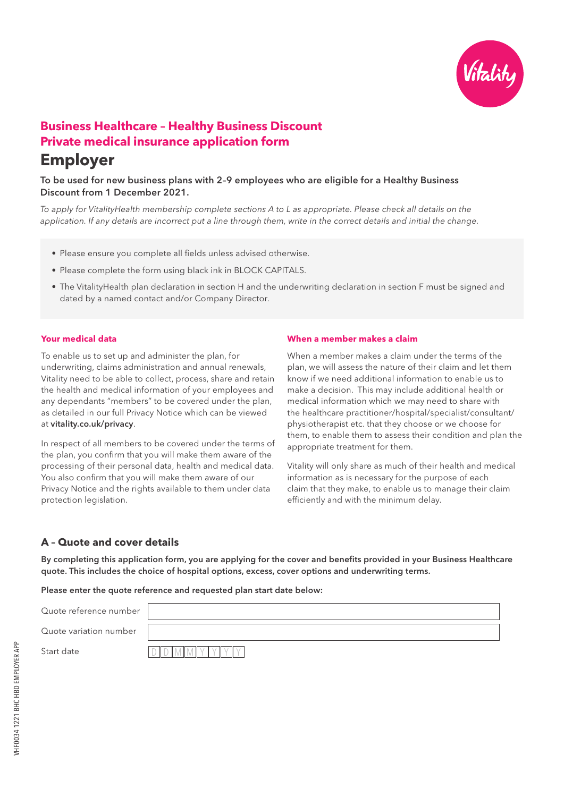

# **Business Healthcare – Healthy Business Discount Private medical insurance application form Employer**

## To be used for new business plans with 2–9 employees who are eligible for a Healthy Business Discount from 1 December 2021.

*To apply for VitalityHealth membership complete sections A to L as appropriate. Please check all details on the application. If any details are incorrect put a line through them, write in the correct details and initial the change.*

- Please ensure you complete all fields unless advised otherwise.
- Please complete the form using black ink in BLOCK CAPITALS.
- The VitalityHealth plan declaration in section H and the underwriting declaration in section F must be signed and dated by a named contact and/or Company Director.

### **Your medical data**

To enable us to set up and administer the plan, for underwriting, claims administration and annual renewals, Vitality need to be able to collect, process, share and retain the health and medical information of your employees and any dependants "members" to be covered under the plan, as detailed in our full Privacy Notice which can be viewed at vitality.co.uk/privacy.

In respect of all members to be covered under the terms of the plan, you confirm that you will make them aware of the processing of their personal data, health and medical data. You also confirm that you will make them aware of our Privacy Notice and the rights available to them under data protection legislation.

### **When a member makes a claim**

When a member makes a claim under the terms of the plan, we will assess the nature of their claim and let them know if we need additional information to enable us to make a decision. This may include additional health or medical information which we may need to share with the healthcare practitioner/hospital/specialist/consultant/ physiotherapist etc. that they choose or we choose for them, to enable them to assess their condition and plan the appropriate treatment for them.

Vitality will only share as much of their health and medical information as is necessary for the purpose of each claim that they make, to enable us to manage their claim efficiently and with the minimum delay.

## **A – Quote and cover details**

By completing this application form, you are applying for the cover and benefits provided in your Business Healthcare quote. This includes the choice of hospital options, excess, cover options and underwriting terms.

Please enter the quote reference and requested plan start date below:

Quote reference number

Quote variation number

Start date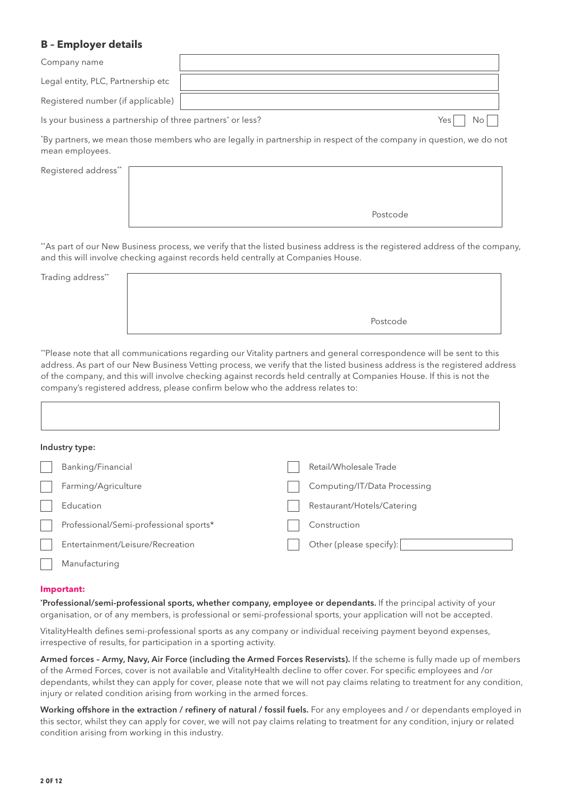## **B – Employer details**

| Company name                                                           |             |
|------------------------------------------------------------------------|-------------|
| Legal entity, PLC, Partnership etc                                     |             |
| Registered number (if applicable)                                      |             |
| Is your business a partnership of three partners <sup>*</sup> or less? | No<br>Yes I |

\* By partners, we mean those members who are legally in partnership in respect of the company in question, we do not mean employees.

Registered address\*\*



\*\*As part of our New Business process, we verify that the listed business address is the registered address of the company, and this will involve checking against records held centrally at Companies House.

Trading address\*\*

Postcode

\*\*Please note that all communications regarding our Vitality partners and general correspondence will be sent to this address. As part of our New Business Vetting process, we verify that the listed business address is the registered address of the company, and this will involve checking against records held centrally at Companies House. If this is not the company's registered address, please confirm below who the address relates to:

| Industry type:                         |                              |
|----------------------------------------|------------------------------|
| Banking/Financial                      | Retail/Wholesale Trade       |
| Farming/Agriculture                    | Computing/IT/Data Processing |
| Education                              | Restaurant/Hotels/Catering   |
| Professional/Semi-professional sports* | Construction                 |
| Entertainment/Leisure/Recreation       | Other (please specify):      |
| Manufacturing                          |                              |

### **Important:**

\* Professional/semi-professional sports, whether company, employee or dependants. If the principal activity of your organisation, or of any members, is professional or semi-professional sports, your application will not be accepted.

VitalityHealth defines semi-professional sports as any company or individual receiving payment beyond expenses, irrespective of results, for participation in a sporting activity.

Armed forces – Army, Navy, Air Force (including the Armed Forces Reservists). If the scheme is fully made up of members of the Armed Forces, cover is not available and VitalityHealth decline to offer cover. For specific employees and /or dependants, whilst they can apply for cover, please note that we will not pay claims relating to treatment for any condition, injury or related condition arising from working in the armed forces.

Working offshore in the extraction / refinery of natural / fossil fuels. For any employees and / or dependants employed in this sector, whilst they can apply for cover, we will not pay claims relating to treatment for any condition, injury or related condition arising from working in this industry.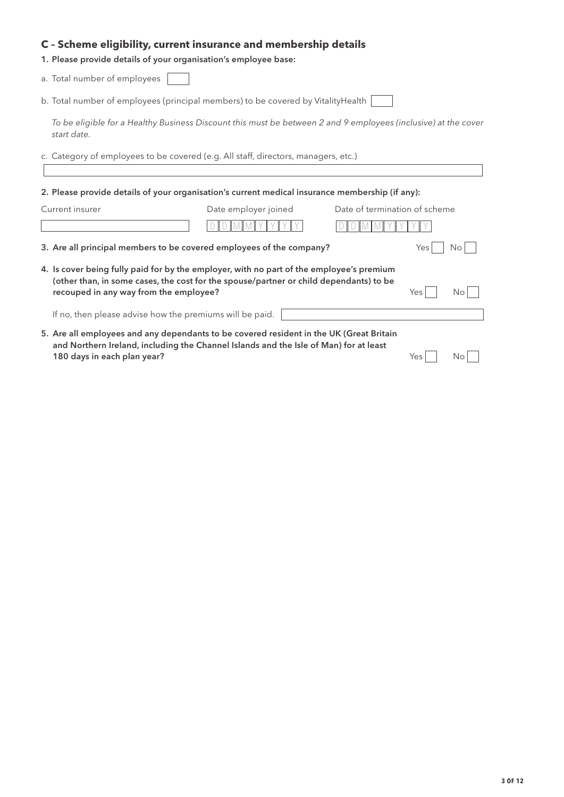## **C – Scheme eligibility, current insurance and membership details**

1. Please provide details of your organisation's employee base:

a. Total number of employees

b. Total number of employees (principal members) to be covered by VitalityHealth [

*To be eligible for a Healthy Business Discount this must be between 2 and 9 employees (inclusive) at the cover start date.*

c. Category of employees to be covered (e.g. All staff, directors, managers, etc.)

2. Please provide details of your organisation's current medical insurance membership (if any):

| Current insurer                                                                                                                                                                                                              | Date employer joined | Date of termination of scheme |     |    |
|------------------------------------------------------------------------------------------------------------------------------------------------------------------------------------------------------------------------------|----------------------|-------------------------------|-----|----|
|                                                                                                                                                                                                                              |                      |                               |     |    |
| 3. Are all principal members to be covered employees of the company?                                                                                                                                                         |                      |                               | Yes | Νo |
| 4. Is cover being fully paid for by the employer, with no part of the employee's premium<br>(other than, in some cases, the cost for the spouse/partner or child dependants) to be<br>recouped in any way from the employee? |                      |                               | Yes | Νo |
| If no, then please advise how the premiums will be paid.                                                                                                                                                                     |                      |                               |     |    |
| 5. Are all employees and any dependants to be covered resident in the UK (Great Britain<br>and Northern Ireland, including the Channel Islands and the Isle of Man) for at least<br>180 days in each plan year?              |                      |                               | Yes | Nο |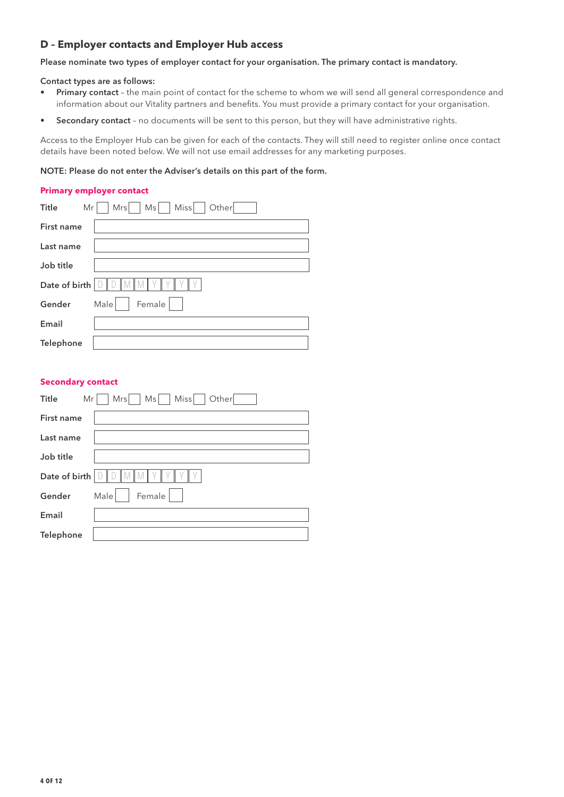## **D – Employer contacts and Employer Hub access**

Please nominate two types of employer contact for your organisation. The primary contact is mandatory.

#### Contact types are as follows:

- Primary contact the main point of contact for the scheme to whom we will send all general correspondence and information about our Vitality partners and benefits. You must provide a primary contact for your organisation.
- Secondary contact no documents will be sent to this person, but they will have administrative rights.

Access to the Employer Hub can be given for each of the contacts. They will still need to register online once contact details have been noted below. We will not use email addresses for any marketing purposes.

### NOTE: Please do not enter the Adviser's details on this part of the form.

### **Primary employer contact**

| <b>Title</b><br>Mr | Miss<br>Other<br>Mrs<br>Ms |
|--------------------|----------------------------|
| First name         |                            |
| Last name          |                            |
| Job title          |                            |
| Date of birth      |                            |
| Gender             | Female<br>Male             |
| Email              |                            |
| Telephone          |                            |

### **Secondary contact**

| Title<br>Mr   | Miss<br>Other<br>Mrs<br>Ms |
|---------------|----------------------------|
| First name    |                            |
| Last name     |                            |
| Job title     |                            |
| Date of birth |                            |
| Gender        | Male<br>Female             |
| Email         |                            |
| Telephone     |                            |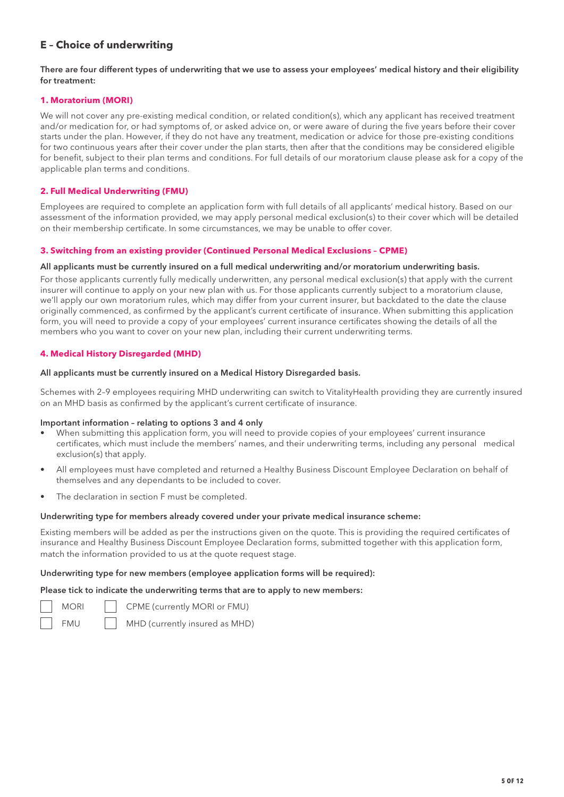## **E – Choice of underwriting**

### There are four different types of underwriting that we use to assess your employees' medical history and their eligibility for treatment:

### **1. Moratorium (MORI)**

We will not cover any pre-existing medical condition, or related condition(s), which any applicant has received treatment and/or medication for, or had symptoms of, or asked advice on, or were aware of during the five years before their cover starts under the plan. However, if they do not have any treatment, medication or advice for those pre-existing conditions for two continuous years after their cover under the plan starts, then after that the conditions may be considered eligible for benefit, subject to their plan terms and conditions. For full details of our moratorium clause please ask for a copy of the applicable plan terms and conditions.

### **2. Full Medical Underwriting (FMU)**

Employees are required to complete an application form with full details of all applicants' medical history. Based on our assessment of the information provided, we may apply personal medical exclusion(s) to their cover which will be detailed on their membership certificate. In some circumstances, we may be unable to offer cover.

### **3. Switching from an existing provider (Continued Personal Medical Exclusions – CPME)**

#### All applicants must be currently insured on a full medical underwriting and/or moratorium underwriting basis.

For those applicants currently fully medically underwritten, any personal medical exclusion(s) that apply with the current insurer will continue to apply on your new plan with us. For those applicants currently subject to a moratorium clause, we'll apply our own moratorium rules, which may differ from your current insurer, but backdated to the date the clause originally commenced, as confirmed by the applicant's current certificate of insurance. When submitting this application form, you will need to provide a copy of your employees' current insurance certificates showing the details of all the members who you want to cover on your new plan, including their current underwriting terms.

### **4. Medical History Disregarded (MHD)**

#### All applicants must be currently insured on a Medical History Disregarded basis.

Schemes with 2–9 employees requiring MHD underwriting can switch to VitalityHealth providing they are currently insured on an MHD basis as confirmed by the applicant's current certificate of insurance.

### Important information – relating to options 3 and 4 only

- When submitting this application form, you will need to provide copies of your employees' current insurance certificates, which must include the members' names, and their underwriting terms, including any personal medical exclusion(s) that apply.
- All employees must have completed and returned a Healthy Business Discount Employee Declaration on behalf of themselves and any dependants to be included to cover.
- The declaration in section F must be completed.

## Underwriting type for members already covered under your private medical insurance scheme:

Existing members will be added as per the instructions given on the quote. This is providing the required certificates of insurance and Healthy Business Discount Employee Declaration forms, submitted together with this application form, match the information provided to us at the quote request stage.

## Underwriting type for new members (employee application forms will be required):

Please tick to indicate the underwriting terms that are to apply to new members:

- MORI | CPME (currently MORI or FMU)
- FMU | MHD (currently insured as MHD)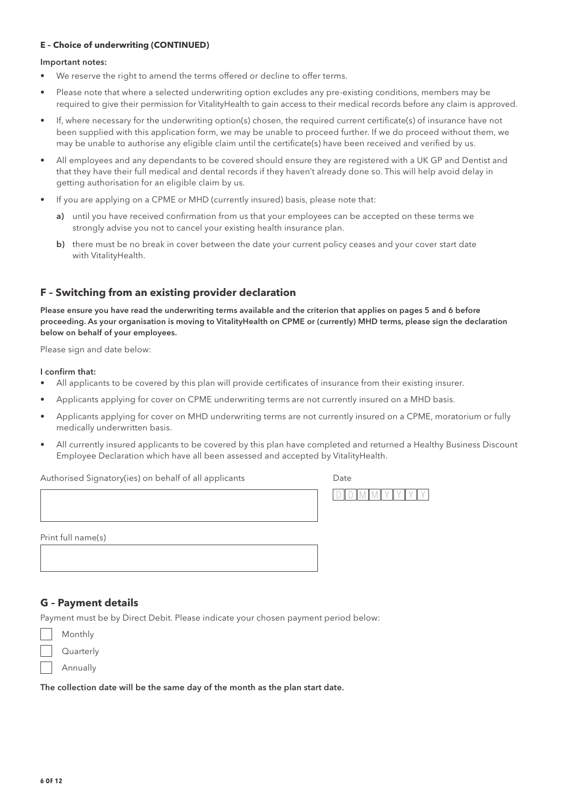## **E – Choice of underwriting (CONTINUED)**

#### Important notes:

- We reserve the right to amend the terms offered or decline to offer terms.
- Please note that where a selected underwriting option excludes any pre-existing conditions, members may be required to give their permission for VitalityHealth to gain access to their medical records before any claim is approved.
- If, where necessary for the underwriting option(s) chosen, the required current certificate(s) of insurance have not been supplied with this application form, we may be unable to proceed further. If we do proceed without them, we may be unable to authorise any eligible claim until the certificate(s) have been received and verified by us.
- All employees and any dependants to be covered should ensure they are registered with a UK GP and Dentist and that they have their full medical and dental records if they haven't already done so. This will help avoid delay in getting authorisation for an eligible claim by us.
- If you are applying on a CPME or MHD (currently insured) basis, please note that:
	- a) until you have received confirmation from us that your employees can be accepted on these terms we strongly advise you not to cancel your existing health insurance plan.
	- b) there must be no break in cover between the date your current policy ceases and your cover start date with VitalityHealth.

## **F – Switching from an existing provider declaration**

Please ensure you have read the underwriting terms available and the criterion that applies on pages 5 and 6 before proceeding. As your organisation is moving to VitalityHealth on CPME or (currently) MHD terms, please sign the declaration below on behalf of your employees.

Please sign and date below:

#### I confirm that:

- All applicants to be covered by this plan will provide certificates of insurance from their existing insurer.
- Applicants applying for cover on CPME underwriting terms are not currently insured on a MHD basis.
- Applicants applying for cover on MHD underwriting terms are not currently insured on a CPME, moratorium or fully medically underwritten basis.
- All currently insured applicants to be covered by this plan have completed and returned a Healthy Business Discount Employee Declaration which have all been assessed and accepted by VitalityHealth.

 $\overline{\phantom{a}}$ 

| Authorised Signatory(ies) on behalf of all applicants | Date |
|-------------------------------------------------------|------|
|                                                       |      |

 $D D M M Y Y Y Y$ 

Print full name(s)

## **G – Payment details**

Payment must be by Direct Debit. Please indicate your chosen payment period below:

| Monthly   |
|-----------|
| Quarterly |
| Annually  |

The collection date will be the same day of the month as the plan start date.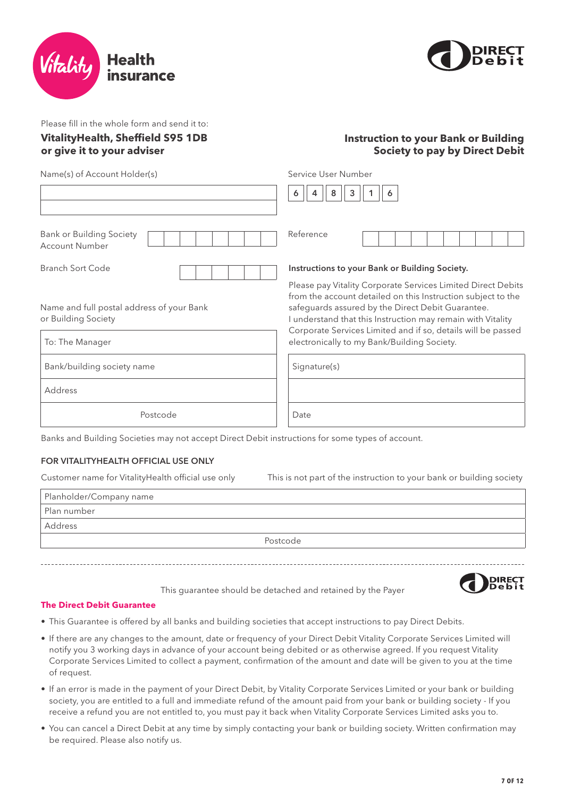



Please fill in the whole form and send it to:

## **VitalityHealth, Sheffield S95 1DB or give it to your adviser**

## **Instruction to your Bank or Building Society to pay by Direct Debit**

Name(s) of Account Holder(s)

| Service User Number |  |         |  |  |  |
|---------------------|--|---------|--|--|--|
|                     |  | 4  8  3 |  |  |  |

| <b>Bank or Building Society</b><br><b>Account Number</b>         | Reference                                                                                                                                                                                                                                      |
|------------------------------------------------------------------|------------------------------------------------------------------------------------------------------------------------------------------------------------------------------------------------------------------------------------------------|
| Branch Sort Code                                                 | Instructions to your Bank or Building Society.                                                                                                                                                                                                 |
| Name and full postal address of your Bank<br>or Building Society | Please pay Vitality Corporate Services Limited Direct Debits<br>from the account detailed on this Instruction subject to the<br>safeguards assured by the Direct Debit Guarantee.<br>understand that this Instruction may remain with Vitality |
| To: The Manager                                                  | Corporate Services Limited and if so, details will be passed<br>electronically to my Bank/Building Society.                                                                                                                                    |
| Bank/building society name                                       | Signature(s)                                                                                                                                                                                                                                   |

Address

Postcode

### Banks and Building Societies may not accept Direct Debit instructions for some types of account.

### FOR VITALITYHEALTH OFFICIAL USE ONLY

Customer name for VitalityHealth official use only This is not part of the instruction to your bank or building society

Date

| Planholder/Company name |
|-------------------------|
| Plan number             |
| Address                 |
| Postcode                |
|                         |

This guarantee should be detached and retained by the Payer



## **The Direct Debit Guarantee**

- This Guarantee is offered by all banks and building societies that accept instructions to pay Direct Debits.
- If there are any changes to the amount, date or frequency of your Direct Debit Vitality Corporate Services Limited will notify you 3 working days in advance of your account being debited or as otherwise agreed. If you request Vitality Corporate Services Limited to collect a payment, confirmation of the amount and date will be given to you at the time of request.
- If an error is made in the payment of your Direct Debit, by Vitality Corporate Services Limited or your bank or building society, you are entitled to a full and immediate refund of the amount paid from your bank or building society - If you receive a refund you are not entitled to, you must pay it back when Vitality Corporate Services Limited asks you to.
- You can cancel a Direct Debit at any time by simply contacting your bank or building society. Written confirmation may be required. Please also notify us.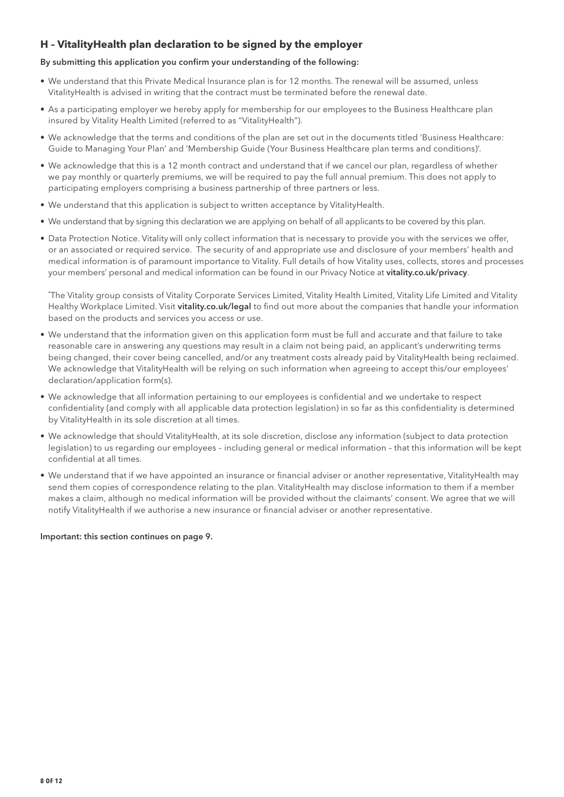## **H – VitalityHealth plan declaration to be signed by the employer**

## By submitting this application you confirm your understanding of the following:

- We understand that this Private Medical Insurance plan is for 12 months. The renewal will be assumed, unless VitalityHealth is advised in writing that the contract must be terminated before the renewal date.
- As a participating employer we hereby apply for membership for our employees to the Business Healthcare plan insured by Vitality Health Limited (referred to as "VitalityHealth").
- We acknowledge that the terms and conditions of the plan are set out in the documents titled 'Business Healthcare: Guide to Managing Your Plan' and 'Membership Guide (Your Business Healthcare plan terms and conditions)'.
- We acknowledge that this is a 12 month contract and understand that if we cancel our plan, regardless of whether we pay monthly or quarterly premiums, we will be required to pay the full annual premium. This does not apply to participating employers comprising a business partnership of three partners or less.
- We understand that this application is subject to written acceptance by VitalityHealth.
- We understand that by signing this declaration we are applying on behalf of all applicants to be covered by this plan.
- Data Protection Notice. Vitality will only collect information that is necessary to provide you with the services we offer, or an associated or required service. The security of and appropriate use and disclosure of your members' health and medical information is of paramount importance to Vitality. Full details of how Vitality uses, collects, stores and processes your members' personal and medical information can be found in our Privacy Notice at vitality.co.uk/privacy.

\* The Vitality group consists of Vitality Corporate Services Limited, Vitality Health Limited, Vitality Life Limited and Vitality Healthy Workplace Limited. Visit vitality.co.uk/legal to find out more about the companies that handle your information based on the products and services you access or use.

- We understand that the information given on this application form must be full and accurate and that failure to take reasonable care in answering any questions may result in a claim not being paid, an applicant's underwriting terms being changed, their cover being cancelled, and/or any treatment costs already paid by VitalityHealth being reclaimed. We acknowledge that VitalityHealth will be relying on such information when agreeing to accept this/our employees' declaration/application form(s).
- We acknowledge that all information pertaining to our employees is confidential and we undertake to respect confidentiality (and comply with all applicable data protection legislation) in so far as this confidentiality is determined by VitalityHealth in its sole discretion at all times.
- We acknowledge that should VitalityHealth, at its sole discretion, disclose any information (subject to data protection legislation) to us regarding our employees – including general or medical information – that this information will be kept confidential at all times.
- We understand that if we have appointed an insurance or financial adviser or another representative, VitalityHealth may send them copies of correspondence relating to the plan. VitalityHealth may disclose information to them if a member makes a claim, although no medical information will be provided without the claimants' consent. We agree that we will notify VitalityHealth if we authorise a new insurance or financial adviser or another representative.

### Important: this section continues on page 9.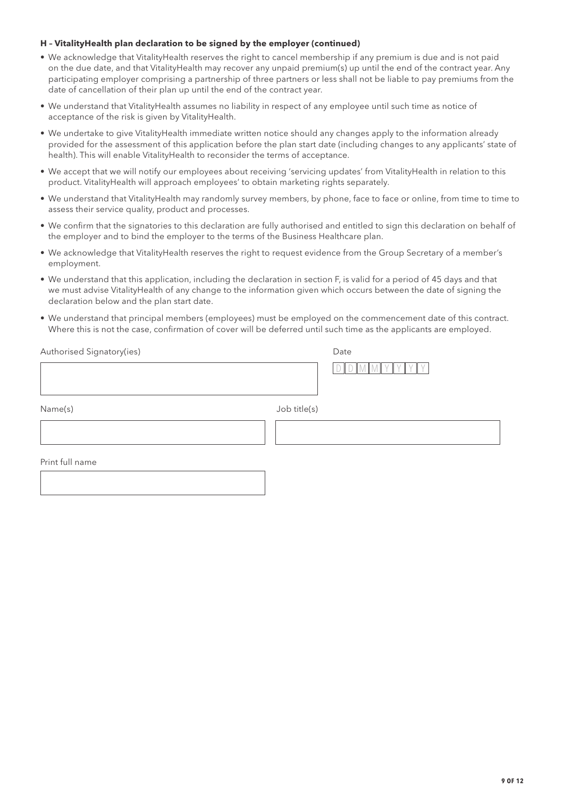### **H – VitalityHealth plan declaration to be signed by the employer (continued)**

- We acknowledge that VitalityHealth reserves the right to cancel membership if any premium is due and is not paid on the due date, and that VitalityHealth may recover any unpaid premium(s) up until the end of the contract year. Any participating employer comprising a partnership of three partners or less shall not be liable to pay premiums from the date of cancellation of their plan up until the end of the contract year.
- We understand that VitalityHealth assumes no liability in respect of any employee until such time as notice of acceptance of the risk is given by VitalityHealth.
- We undertake to give VitalityHealth immediate written notice should any changes apply to the information already provided for the assessment of this application before the plan start date (including changes to any applicants' state of health). This will enable VitalityHealth to reconsider the terms of acceptance.
- We accept that we will notify our employees about receiving 'servicing updates' from VitalityHealth in relation to this product. VitalityHealth will approach employees' to obtain marketing rights separately.
- We understand that VitalityHealth may randomly survey members, by phone, face to face or online, from time to time to assess their service quality, product and processes.
- We confirm that the signatories to this declaration are fully authorised and entitled to sign this declaration on behalf of the employer and to bind the employer to the terms of the Business Healthcare plan.
- We acknowledge that VitalityHealth reserves the right to request evidence from the Group Secretary of a member's employment.
- We understand that this application, including the declaration in section F, is valid for a period of 45 days and that we must advise VitalityHealth of any change to the information given which occurs between the date of signing the declaration below and the plan start date.
- We understand that principal members (employees) must be employed on the commencement date of this contract. Where this is not the case, confirmation of cover will be deferred until such time as the applicants are employed.

| Authorised Signatory(ies) | Date         |
|---------------------------|--------------|
|                           |              |
| Name(s)                   | Job title(s) |
|                           |              |
| Print full name           |              |
|                           |              |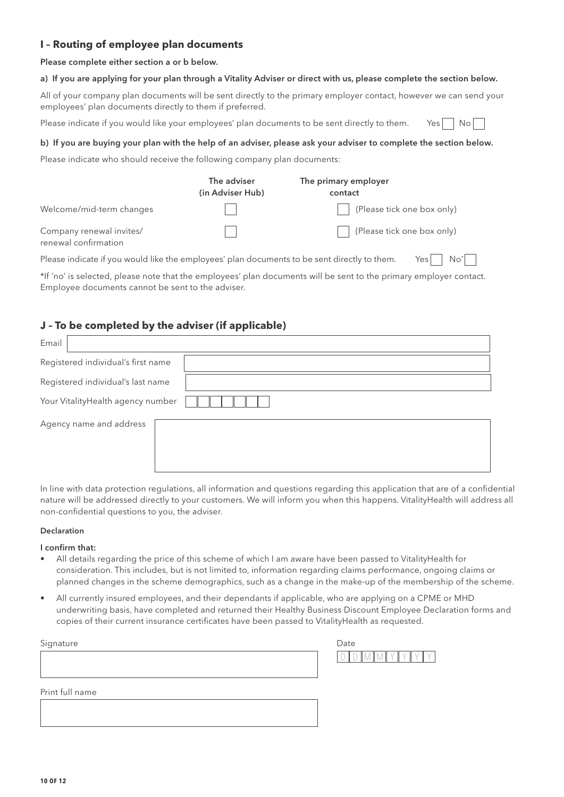## **I – Routing of employee plan documents**

Please complete either section a or b below.

## a) If you are applying for your plan through a Vitality Adviser or direct with us, please complete the section below.

All of your company plan documents will be sent directly to the primary employer contact, however we can send your employees' plan documents directly to them if preferred.

Please indicate if you would like your employees' plan documents to be sent directly to them. Yes  $\Box$  No  $\Box$ 

### b) If you are buying your plan with the help of an adviser, please ask your adviser to complete the section below.

Please indicate who should receive the following company plan documents:

|                                                                                              | The adviser<br>(in Adviser Hub) | The primary employer<br>contact |
|----------------------------------------------------------------------------------------------|---------------------------------|---------------------------------|
| Welcome/mid-term changes                                                                     |                                 | (Please tick one box only)      |
| Company renewal invites/<br>renewal confirmation                                             |                                 | (Please tick one box only)      |
| Please indicate if you would like the employees' plan documents to be sent directly to them. |                                 | Yesl<br>No*l                    |

\*If 'no' is selected, please note that the employees' plan documents will be sent to the primary employer contact. Employee documents cannot be sent to the adviser.

## **J – To be completed by the adviser (if applicable)**

| Email                             |                                    |  |  |
|-----------------------------------|------------------------------------|--|--|
|                                   | Registered individual's first name |  |  |
|                                   | Registered individual's last name  |  |  |
| Your VitalityHealth agency number |                                    |  |  |
|                                   | Agency name and address            |  |  |

In line with data protection regulations, all information and questions regarding this application that are of a confidential nature will be addressed directly to your customers. We will inform you when this happens. VitalityHealth will address all non-confidential questions to you, the adviser.

### Declaration

### I confirm that:

- All details regarding the price of this scheme of which I am aware have been passed to VitalityHealth for consideration. This includes, but is not limited to, information regarding claims performance, ongoing claims or planned changes in the scheme demographics, such as a change in the make-up of the membership of the scheme.
- All currently insured employees, and their dependants if applicable, who are applying on a CPME or MHD underwriting basis, have completed and returned their Healthy Business Discount Employee Declaration forms and copies of their current insurance certificates have been passed to VitalityHealth as requested.

| Signature       | Date |
|-----------------|------|
|                 |      |
|                 |      |
|                 |      |
| Print full name |      |
|                 |      |
|                 |      |
|                 |      |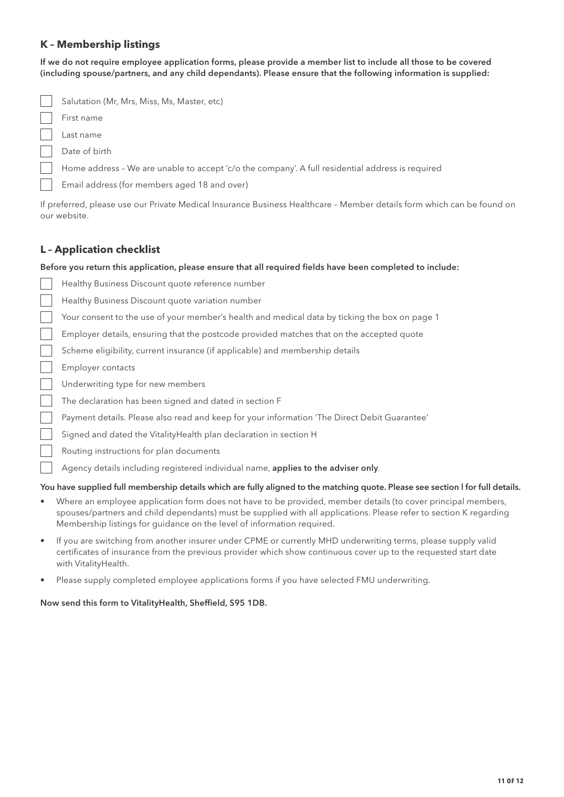## **K – Membership listings**

If we do not require employee application forms, please provide a member list to include all those to be covered (including spouse/partners, and any child dependants). Please ensure that the following information is supplied:

| Salutation (Mr, Mrs, Miss, Ms, Master, etc)                                                      |
|--------------------------------------------------------------------------------------------------|
| First name                                                                                       |
| Last name                                                                                        |
| Date of birth                                                                                    |
| Home address - We are unable to accept 'c/o the company'. A full residential address is required |
| Email address (for members aged 18 and over)                                                     |

If preferred, please use our Private Medical Insurance Business Healthcare – Member details form which can be found on our website.

## **L – Application checklist**

### Before you return this application, please ensure that all required fields have been completed to include:

| Healthy Business Discount quote reference number                                                              |
|---------------------------------------------------------------------------------------------------------------|
| Healthy Business Discount quote variation number                                                              |
| Your consent to the use of your member's health and medical data by ticking the box on page 1                 |
| Employer details, ensuring that the postcode provided matches that on the accepted quote                      |
| Scheme eligibility, current insurance (if applicable) and membership details                                  |
| Employer contacts                                                                                             |
| Underwriting type for new members                                                                             |
| The declaration has been signed and dated in section F                                                        |
| Payment details. Please also read and keep for your information 'The Direct Debit Guarantee'                  |
| Signed and dated the Vitality Health plan declaration in section H                                            |
| Routing instructions for plan documents                                                                       |
| Agency details including registered individual name, applies to the adviser only.                             |
| You have supplied full membership details which are fully aligned to the matching quote. Please see section I |
| Where an employee application form does not have to be provided, member details (to cover principal           |

## You have supplied full membership details which are fully aligned to the matching quote. Please see section l for full details.

- Where an employee application form does not have to be provided, member details (to cover principal members, spouses/partners and child dependants) must be supplied with all applications. Please refer to section K regarding Membership listings for guidance on the level of information required.
- If you are switching from another insurer under CPME or currently MHD underwriting terms, please supply valid certificates of insurance from the previous provider which show continuous cover up to the requested start date with VitalityHealth.
- Please supply completed employee applications forms if you have selected FMU underwriting.

### Now send this form to VitalityHealth, Sheffield, S95 1DB.